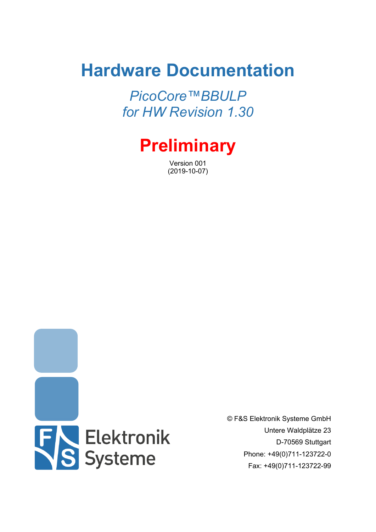# **Hardware Documentation**

*PicoCore™BBULP for HW Revision 1.30*



Version 001 (2019-10-07)



© F&S Elektronik Systeme GmbH Untere Waldplätze 23 D-70569 Stuttgart Phone: +49(0)711-123722-0 Fax: +49(0)711-123722-99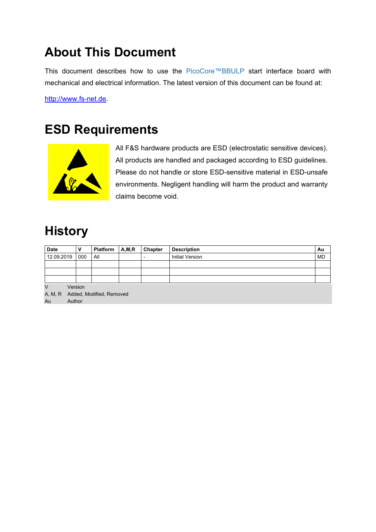## <span id="page-1-0"></span>**About This Document**

This document describes how to use the PicoCore™BBULP start interface board with mechanical and electrical information. The latest version of this document can be found at:

[http://www.fs-net.de](http://www.fs-net.de/).

## <span id="page-1-1"></span>**ESD Requirements**



All F&S hardware products are ESD (electrostatic sensitive devices). All products are handled and packaged according to ESD guidelines. Please do not handle or store ESD-sensitive material in ESD-unsafe environments. Negligent handling will harm the product and warranty claims become void.

## <span id="page-1-2"></span>**History**

| <b>Date</b>                                                              |  |     | <b>Platform</b> | A, M, R | Chapter | <b>Description</b>     | Au        |
|--------------------------------------------------------------------------|--|-----|-----------------|---------|---------|------------------------|-----------|
| 12.09.2019                                                               |  | 000 | All             |         |         | <b>Initial Version</b> | <b>MD</b> |
|                                                                          |  |     |                 |         |         |                        |           |
|                                                                          |  |     |                 |         |         |                        |           |
|                                                                          |  |     |                 |         |         |                        |           |
| $\vee$<br>Version<br>A, M, R<br>Added, Modified, Removed<br>Au<br>Author |  |     |                 |         |         |                        |           |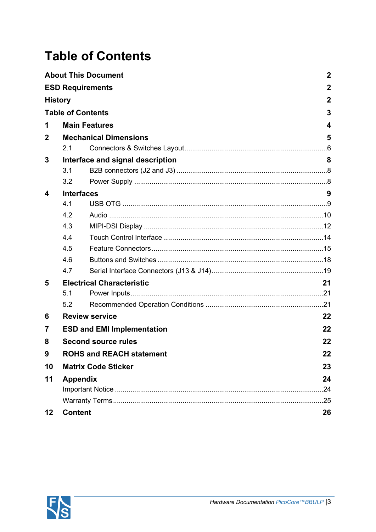# <span id="page-2-0"></span>**Table of Contents**

|                |                                       | <b>About This Document</b>        | $\boldsymbol{2}$ |  |  |  |  |
|----------------|---------------------------------------|-----------------------------------|------------------|--|--|--|--|
|                | <b>ESD Requirements</b>               |                                   | $\mathbf 2$      |  |  |  |  |
| <b>History</b> |                                       |                                   | $\mathbf 2$      |  |  |  |  |
|                | <b>Table of Contents</b>              |                                   | 3                |  |  |  |  |
| 1              | <b>Main Features</b><br>4             |                                   |                  |  |  |  |  |
| 2              |                                       | <b>Mechanical Dimensions</b>      | 5                |  |  |  |  |
|                | 2.1                                   |                                   |                  |  |  |  |  |
| 3              |                                       | Interface and signal description  | 8                |  |  |  |  |
|                | 3.1                                   |                                   |                  |  |  |  |  |
|                | 3.2                                   |                                   |                  |  |  |  |  |
| 4              | <b>Interfaces</b>                     |                                   | 9                |  |  |  |  |
|                | 4.1                                   |                                   |                  |  |  |  |  |
|                | 4.2                                   |                                   |                  |  |  |  |  |
|                | 4.3                                   |                                   |                  |  |  |  |  |
|                | 4.4                                   |                                   |                  |  |  |  |  |
|                | 4.5                                   |                                   |                  |  |  |  |  |
|                | 4.6                                   |                                   |                  |  |  |  |  |
|                | 4.7                                   |                                   |                  |  |  |  |  |
| 5              |                                       | <b>Electrical Characteristic</b>  | 21               |  |  |  |  |
|                | 5.1                                   |                                   |                  |  |  |  |  |
|                | 5.2                                   |                                   |                  |  |  |  |  |
| 6              |                                       | <b>Review service</b>             | 22               |  |  |  |  |
| 7              |                                       | <b>ESD and EMI Implementation</b> | 22               |  |  |  |  |
| 8              |                                       | <b>Second source rules</b>        | 22               |  |  |  |  |
| 9              | <b>ROHS and REACH statement</b><br>22 |                                   |                  |  |  |  |  |
| 10             |                                       | <b>Matrix Code Sticker</b>        | 23               |  |  |  |  |
| 11             | <b>Appendix</b>                       |                                   | 24               |  |  |  |  |
|                |                                       |                                   | .24              |  |  |  |  |
|                |                                       |                                   | .25              |  |  |  |  |
| $12 \,$        | <b>Content</b><br>26                  |                                   |                  |  |  |  |  |

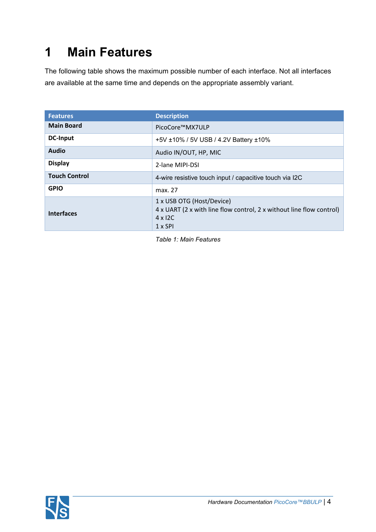# <span id="page-3-0"></span>**1 Main Features**

The following table shows the maximum possible number of each interface. Not all interfaces are available at the same time and depends on the appropriate assembly variant.

| <b>Features</b>      | <b>Description</b>                                                                                                                    |  |  |  |  |
|----------------------|---------------------------------------------------------------------------------------------------------------------------------------|--|--|--|--|
| <b>Main Board</b>    | PicoCore™MX7ULP                                                                                                                       |  |  |  |  |
| <b>DC-Input</b>      | +5V ±10% / 5V USB / 4.2V Battery ±10%                                                                                                 |  |  |  |  |
| <b>Audio</b>         | Audio IN/OUT, HP, MIC                                                                                                                 |  |  |  |  |
| <b>Display</b>       | 2-lane MIPI-DSI                                                                                                                       |  |  |  |  |
| <b>Touch Control</b> | 4-wire resistive touch input / capacitive touch via I2C                                                                               |  |  |  |  |
| <b>GPIO</b>          | max. 27                                                                                                                               |  |  |  |  |
| <b>Interfaces</b>    | 1 x USB OTG (Host/Device)<br>4 x UART (2 x with line flow control, 2 x without line flow control)<br>$4 \times 12C$<br>$1 \times SPI$ |  |  |  |  |

<span id="page-3-1"></span>*Table 1: Main Features*

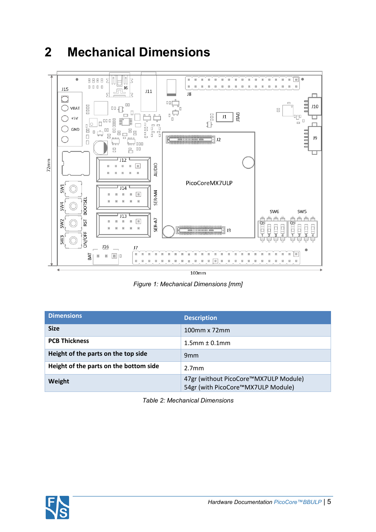#### $\begin{picture}(150,10) \put(0,0){\line(1,0){10}} \put(15,0){\line(1,0){10}} \put(15,0){\line(1,0){10}} \put(15,0){\line(1,0){10}} \put(15,0){\line(1,0){10}} \put(15,0){\line(1,0){10}} \put(15,0){\line(1,0){10}} \put(15,0){\line(1,0){10}} \put(15,0){\line(1,0){10}} \put(15,0){\line(1,0){10}} \put(15,0){\line(1,0){10}} \put(15,0){\line($  $\bullet$  $\begin{tabular}{l} \hline \rule{0pt}{2pt} \rule{0pt}{2pt} \rule{0pt}{2pt} \rule{0pt}{2pt} \rule{0pt}{2pt} \rule{0pt}{2pt} \rule{0pt}{2pt} \rule{0pt}{2pt} \rule{0pt}{2pt} \rule{0pt}{2pt} \rule{0pt}{2pt} \rule{0pt}{2pt} \rule{0pt}{2pt} \rule{0pt}{2pt} \rule{0pt}{2pt} \rule{0pt}{2pt} \rule{0pt}{2pt} \rule{0pt}{2pt} \rule{0pt}{2pt} \rule{0pt}{2pt} \rule{0pt}{2pt} \rule{0pt}{2pt} \rule{0pt}{2pt} \rule$  $\sqrt{ }$  $\mathbb{I}$  $\boxtimes$  $\overline{\omega}$ b. g,  $\overline{\mathbb{R}}$ I.  $\mathbf{r}$  $\boxtimes$  $\mathbb{H}$  $\overline{u}$  $\boxtimes$  $\boxtimes$  $\boxtimes$  $\boxtimes$  $\boxtimes$  $\overline{\mathbb{R}}$  $\overline{a}$ m.  $\overline{a}$  $\mathbf{r}$  $\overline{a}$  $\overline{\Xi}$  $\bar{u}$  $\mathbb R$  $\boxtimes$  $\boxtimes$  $\boxtimes$  $\tilde{J6}$  $J15$ 皿  $J11$  $\overline{\phantom{0}}$ J8 k 5 ┍  $\bigcirc$  $\Box\Box$  $J10$ FIFIE  $\bigcirc$  VBAT  $\mathbb{R}$  $\Box$ F<br>— D **JTAG** T,  $J1$ □  $+5V$ ◯ Þ 미미 디 Food<br>Food<br>Food 目中日 П  $\Box$ U≣<br>¦o<sup>88</sup><br>"  $\bigcirc$  GND 吅  $\Box$  $\Box$  $\Box$ J9 **ARR** ◯ | J2 **boy** 000  $\Box$ 日日  $\overline{J12}$ т  $72mm$ AUDIO  $\begin{tabular}{ccccc} H & H & H & \underline{H} \\ \end{tabular}$ 酉  $\overline{H}$ 回 日  $\,$  H  $\overline{R}$ PicoCoreMX7ULP SW1  $J14$  $\circledcirc$ SER-M4  $\begin{tabular}{ccccc} $\mathbb{H}$ & $\mathbb{H}$ & $\mathbb{H}$ \end{tabular}$  $\mathbb{H}$  $\mathbbm{H}$ **BOOTSEL**  $\overline{\rm{m}}$  $\boxtimes$  $\mathbb{R}$  $\boxtimes$ SW4 SW<sub>6</sub> SW<sub>5</sub>  $J13$ 肖肖肖 肖肖肖 SER-A7 RST  $\,$  H  $\,$ SW<sub>2</sub>  $\overline{\mathbb{R}}$  $\overline{\mathbb{N}}$  $\boxtimes$ ōī Öħ  $_{\rm H}$  $\mathbb H$ 101101101  $\mathbf{r}$  $\mathbf{H}$  $\overline{u}$ Ē  $J3$ ON/OFF SW3  $116$  $\overline{17}$  $\sqrt{a}$  $E$ ่ะ  $\mathbf{H}$  $\mathbf{H}$  $\overline{\textrm{H}}$  $\mathbbm{H}$  $\overline{\textrm{H}}$  $\,$  H BAT  $\boxtimes$ ■ ■ |□ 晋 E 昌 Ħ 冨 耳 晋 酉 晋 冨  $\overline{\mathbb{H}}$  $\overline{\mathbb{R}}$  $\overline{\mathbb{H}}$ E  $\mathbb{R}$ H  $\mathbb{R}$  $\mathbb{R}$ Ħ  $\mathbf{H}$ H H E  $\mathbb{R}$  $\overline{\phantom{a}}$  $100mm$

## <span id="page-4-0"></span>**2 Mechanical Dimensions**

<span id="page-4-2"></span>*Figure 1: Mechanical Dimensions [mm]*

| <b>Dimensions</b>                      | <b>Description</b>                                                          |
|----------------------------------------|-----------------------------------------------------------------------------|
| <b>Size</b>                            | 100mm x 72mm                                                                |
| <b>PCB Thickness</b>                   | $1.5$ mm $\pm$ 0.1mm                                                        |
| Height of the parts on the top side    | 9 <sub>mm</sub>                                                             |
| Height of the parts on the bottom side | 2.7 <sub>mm</sub>                                                           |
| Weight                                 | 47gr (without PicoCore™MX7ULP Module)<br>54gr (with PicoCore™MX7ULP Module) |

<span id="page-4-1"></span>*Table 2: Mechanical Dimensions*

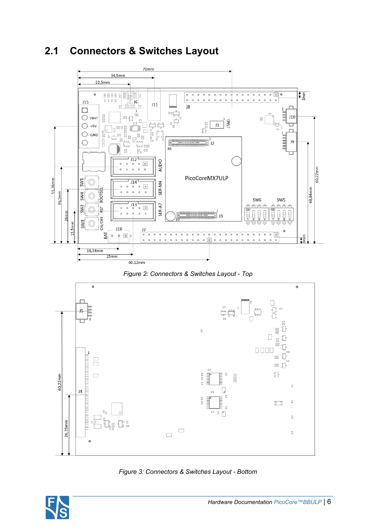#### <span id="page-5-0"></span>**2.1 Connectors & Switches Layout**



<span id="page-5-1"></span>



<span id="page-5-2"></span>

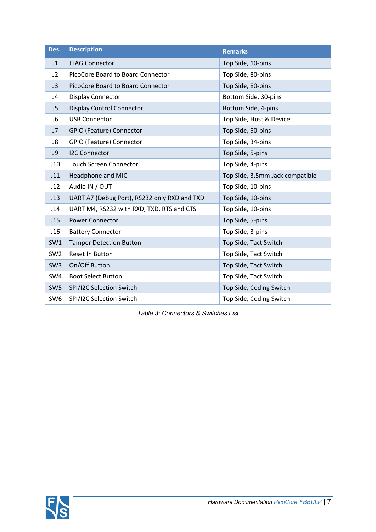| Des.            | <b>Description</b>                           | <b>Remarks</b>                  |
|-----------------|----------------------------------------------|---------------------------------|
| J1              | <b>JTAG Connector</b>                        | Top Side, 10-pins               |
| J2              | PicoCore Board to Board Connector            | Top Side, 80-pins               |
| J3              | PicoCore Board to Board Connector            | Top Side, 80-pins               |
| J4              | <b>Display Connector</b>                     | Bottom Side, 30-pins            |
| J <sub>5</sub>  | Display Control Connector                    | Bottom Side, 4-pins             |
| J6              | <b>USB Connector</b>                         | Top Side, Host & Device         |
| J7              | GPIO (Feature) Connector                     | Top Side, 50-pins               |
| J8              | GPIO (Feature) Connector                     | Top Side, 34-pins               |
| J9              | <b>I2C Connector</b>                         | Top Side, 5-pins                |
| J10             | <b>Touch Screen Connector</b>                | Top Side, 4-pins                |
| J11             | Headphone and MIC                            | Top Side, 3,5mm Jack compatible |
| J12             | Audio IN / OUT                               | Top Side, 10-pins               |
| J13             | UART A7 (Debug Port), RS232 only RXD and TXD | Top Side, 10-pins               |
| J14             | UART M4, RS232 with RXD, TXD, RTS and CTS    | Top Side, 10-pins               |
| J15             | <b>Power Connector</b>                       | Top Side, 5-pins                |
| J16             | <b>Battery Connector</b>                     | Top Side, 3-pins                |
| SW1             | <b>Tamper Detection Button</b>               | Top Side, Tact Switch           |
| SW <sub>2</sub> | Reset In Button                              | Top Side, Tact Switch           |
| SW <sub>3</sub> | On/Off Button                                | Top Side, Tact Switch           |
| SW4             | <b>Boot Select Button</b>                    | Top Side, Tact Switch           |
| SW <sub>5</sub> | SPI/I2C Selection Switch                     | Top Side, Coding Switch         |
| SW <sub>6</sub> | SPI/I2C Selection Switch                     | Top Side, Coding Switch         |

<span id="page-6-0"></span>*Table 3: Connectors & Switches List*

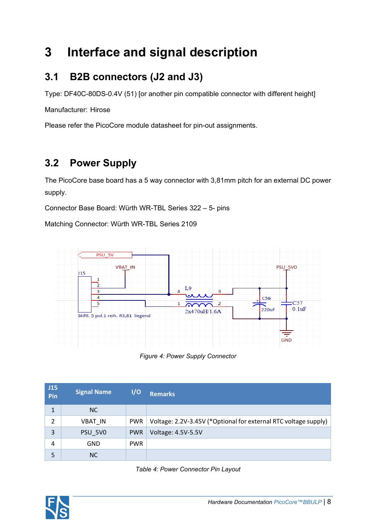## <span id="page-7-0"></span>**3 Interface and signal description**

## <span id="page-7-1"></span>**3.1 B2B connectors (J2 and J3)**

Type: DF40C-80DS-0.4V (51) [or another pin compatible connector with different height]

Manufacturer: Hirose

Please refer the [PicoCore](https://www.fs-net.de/de/produkte/picocore/) module datasheet for pin-out assignments.

## <span id="page-7-2"></span>**3.2 Power Supply**

The PicoCore base board has a 5 way connector with 3,81mm pitch for an external DC power supply.

Connector Base Board: Würth WR-TBL Series 322 – 5- pins

Matching Connector: Würth WR-TBL Series 2109



<span id="page-7-4"></span>*Figure 4: Power Supply Connector*

| J15<br>Pin   | <b>Signal Name</b> | 1/0        | Remarks                                                         |
|--------------|--------------------|------------|-----------------------------------------------------------------|
| $\mathbf{1}$ | <b>NC</b>          |            |                                                                 |
| 2            | <b>VBAT IN</b>     | <b>PWR</b> | Voltage: 2.2V-3.45V (*Optional for external RTC voltage supply) |
| 3            | PSU 5VO            | <b>PWR</b> | Voltage: 4.5V-5.5V                                              |
| 4            | GND                | <b>PWR</b> |                                                                 |
| 5            | <b>NC</b>          |            |                                                                 |

<span id="page-7-3"></span>

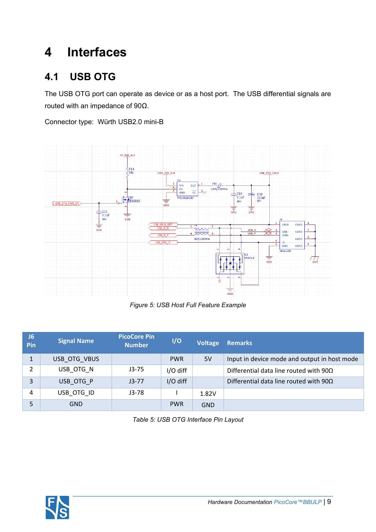## <span id="page-8-0"></span>**4 Interfaces**

#### <span id="page-8-1"></span>**4.1 USB OTG**

The USB OTG port can operate as device or as a host port. The USB differential signals are routed with an impedance of 90Ω.

Connector type: Würth USB2.0 mini-B



<span id="page-8-3"></span>*Figure 5: USB Host Full Feature Example*

| J <sub>6</sub><br>Pin | <b>Signal Name</b> | <b>PicoCore Pin</b><br><b>Number</b> | 1/O        | <b>Voltage</b> | <b>Remarks</b>                                |
|-----------------------|--------------------|--------------------------------------|------------|----------------|-----------------------------------------------|
|                       | USB OTG VBUS       |                                      | <b>PWR</b> | 5V             | Input in device mode and output in host mode  |
| 2                     | USB OTG N          | $J3-75$                              | I/O diff   |                | Differential data line routed with $90\Omega$ |
| 3                     | USB OTG P          | $J3-77$                              | I/O diff   |                | Differential data line routed with $90\Omega$ |
| 4                     | USB OTG ID         | $J3-78$                              |            | 1.82V          |                                               |
| 5                     | <b>GND</b>         |                                      | <b>PWR</b> | <b>GND</b>     |                                               |

<span id="page-8-2"></span>*Table 5: USB OTG Interface Pin Layout*

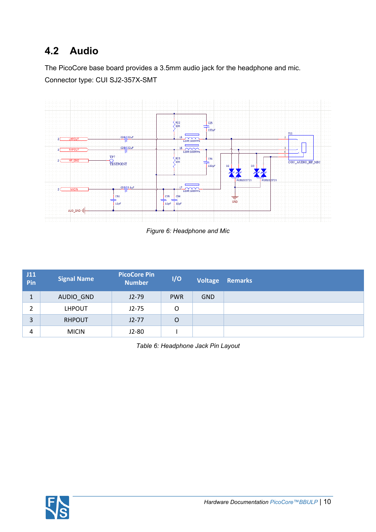## <span id="page-9-0"></span>**4.2 Audio**

The PicoCore base board provides a 3.5mm audio jack for the headphone and mic. Connector type: CUI SJ2-357X-SMT



<span id="page-9-2"></span>*Figure 6: Headphone and Mic*

| J11<br>Pin     | <b>Signal Name</b> | <b>PicoCore Pin</b><br><b>Number</b> | I/O        | Voltage    | <b>Remarks</b> |
|----------------|--------------------|--------------------------------------|------------|------------|----------------|
|                | AUDIO_GND          | $J2-79$                              | <b>PWR</b> | <b>GND</b> |                |
| $\overline{2}$ | <b>LHPOUT</b>      | $J2-75$                              | O          |            |                |
| 3              | <b>RHPOUT</b>      | $J2-77$                              | O          |            |                |
| 4              | <b>MICIN</b>       | $J2-80$                              |            |            |                |

<span id="page-9-1"></span>*Table 6: Headphone Jack Pin Layout*

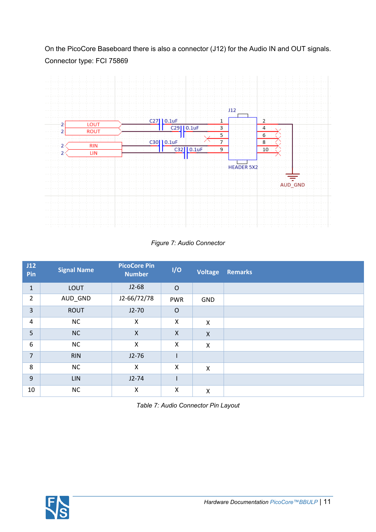On the PicoCore Baseboard there is also a connector (J12) for the Audio IN and OUT signals. Connector type: FCI 75869



<span id="page-10-1"></span>*Figure 7: Audio Connector*

| J12<br>Pin     | <b>Signal Name</b> | <b>PicoCore Pin</b><br><b>Number</b> | I/O                       | <b>Voltage</b>            | <b>Remarks</b> |
|----------------|--------------------|--------------------------------------|---------------------------|---------------------------|----------------|
| $\mathbf{1}$   | <b>LOUT</b>        | $J2-68$                              | $\circ$                   |                           |                |
| 2              | AUD_GND            | J2-66/72/78                          | <b>PWR</b>                | <b>GND</b>                |                |
| 3              | <b>ROUT</b>        | $J2-70$                              | $\circ$                   |                           |                |
| 4              | NC                 | X                                    | X                         | X                         |                |
| 5              | <b>NC</b>          | $\mathsf{X}$                         | $\boldsymbol{\mathsf{X}}$ | $\boldsymbol{\mathsf{X}}$ |                |
| 6              | NC                 | X                                    | X                         | $\pmb{\mathsf{X}}$        |                |
| $\overline{7}$ | <b>RIN</b>         | $J2-76$                              |                           |                           |                |
| 8              | NC                 | X                                    | $\boldsymbol{\mathsf{X}}$ | $\boldsymbol{\mathsf{X}}$ |                |
| 9              | <b>LIN</b>         | $J2-74$                              |                           |                           |                |
| 10             | NC                 | Χ                                    | Χ                         | $\pmb{\mathsf{X}}$        |                |

<span id="page-10-0"></span>

| Table 7: Audio Connector Pin Layout |  |
|-------------------------------------|--|
|-------------------------------------|--|

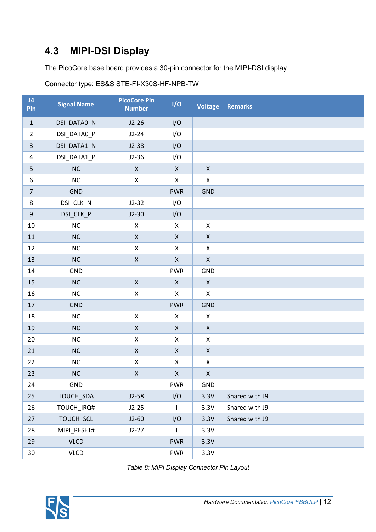## <span id="page-11-0"></span>**4.3 MIPI-DSI Display**

The PicoCore base board provides a 30-pin connector for the MIPI-DSI display.

| J <sub>4</sub><br>Pin   | <b>Signal Name</b> | <b>PicoCore Pin</b><br><b>Number</b> | I/O                | Voltage            | <b>Remarks</b> |
|-------------------------|--------------------|--------------------------------------|--------------------|--------------------|----------------|
| $\mathbf 1$             | DSI_DATA0_N        | $J2-26$                              | I/O                |                    |                |
| $\overline{2}$          | DSI_DATA0_P        | $J2-24$                              | I/O                |                    |                |
| $\overline{3}$          | DSI_DATA1_N        | $J2-38$                              | I/O                |                    |                |
| $\overline{\mathbf{4}}$ | DSI_DATA1_P        | $J2-36$                              | I/O                |                    |                |
| 5                       | NC                 | $\pmb{\mathsf{X}}$                   | $\pmb{\mathsf{X}}$ | $\pmb{\mathsf{X}}$ |                |
| $\boldsymbol{6}$        | NC                 | $\mathsf X$                          | $\pmb{\times}$     | $\pmb{\mathsf{X}}$ |                |
| $\overline{7}$          | <b>GND</b>         |                                      | <b>PWR</b>         | <b>GND</b>         |                |
| 8                       | DSI_CLK_N          | $J2-32$                              | I/O                |                    |                |
| $\boldsymbol{9}$        | DSI_CLK_P          | $J2-30$                              | I/O                |                    |                |
| $10\,$                  | $NC$               | $\pmb{\mathsf{X}}$                   | $\pmb{\mathsf{X}}$ | $\pmb{\mathsf{X}}$ |                |
| 11                      | NC                 | $\pmb{\mathsf{X}}$                   | $\mathsf X$        | $\mathsf X$        |                |
| 12                      | $NC$               | $\pmb{\mathsf{X}}$                   | $\mathsf X$        | $\pmb{\mathsf{X}}$ |                |
| 13                      | NC                 | $\mathsf X$                          | $\mathsf X$        | $\pmb{\mathsf{X}}$ |                |
| 14                      | <b>GND</b>         |                                      | <b>PWR</b>         | GND                |                |
| 15                      | NC                 | $\mathsf X$                          | $\mathsf X$        | $\pmb{\mathsf{X}}$ |                |
| 16                      | NC                 | $\pmb{\mathsf{X}}$                   | $\pmb{\times}$     | $\pmb{\mathsf{X}}$ |                |
| 17                      | <b>GND</b>         |                                      | <b>PWR</b>         | <b>GND</b>         |                |
| 18                      | $NC$               | $\pmb{\mathsf{X}}$                   | X                  | $\pmb{\mathsf{X}}$ |                |
| 19                      | NC                 | $\mathsf X$                          | $\mathsf X$        | $\mathsf X$        |                |
| $20\,$                  | $NC$               | $\pmb{\mathsf{X}}$                   | $\mathsf X$        | $\pmb{\mathsf{X}}$ |                |
| 21                      | NC                 | $\mathsf X$                          | $\mathsf X$        | $\pmb{\mathsf{X}}$ |                |
| 22                      | $NC$               | $\pmb{\mathsf{X}}$                   | $\pmb{\mathsf{X}}$ | $\pmb{\mathsf{X}}$ |                |
| 23                      | NC                 | $\pmb{\mathsf{X}}$                   | $\pmb{\mathsf{X}}$ | $\pmb{\mathsf{X}}$ |                |
| 24                      | GND                |                                      | <b>PWR</b>         | GND                |                |
| 25                      | TOUCH_SDA          | $J2-58$                              | I/O                | 3.3V               | Shared with J9 |
| 26                      | TOUCH_IRQ#         | $J2-25$                              | $\mathsf{I}$       | 3.3V               | Shared with J9 |
| 27                      | TOUCH_SCL          | $J2-60$                              | I/O                | 3.3V               | Shared with J9 |
| 28                      | MIPI_RESET#        | $J2-27$                              | $\mathbf{I}$       | 3.3V               |                |
| 29                      | <b>VLCD</b>        |                                      | <b>PWR</b>         | 3.3V               |                |
| 30 <sup>°</sup>         | <b>VLCD</b>        |                                      | <b>PWR</b>         | 3.3V               |                |

Connector type: ES&S STE-FI-X30S-HF-NPB-TW

<span id="page-11-1"></span>*Table 8: MIPI Display Connector Pin Layout*

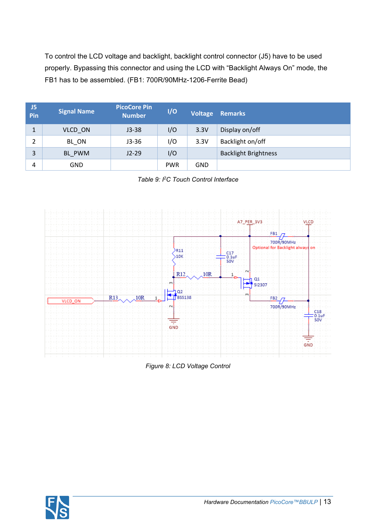To control the LCD voltage and backlight, backlight control connector (J5) have to be used properly. Bypassing this connector and using the LCD with "Backlight Always On" mode, the FB1 has to be assembled. (FB1: 700R/90MHz-1206-Ferrite Bead)

| J5<br>Pin | <b>Signal Name</b> | <b>PicoCore Pin</b><br><b>Number</b> | I/O        | Voltage    | <b>Remarks</b>              |
|-----------|--------------------|--------------------------------------|------------|------------|-----------------------------|
| 1         | VLCD ON            | $J3-38$                              | I/O        | 3.3V       | Display on/off              |
| 2         | BL_ON              | $J3-36$                              | I/O        | 3.3V       | Backlight on/off            |
| 3         | BL PWM             | $J2-29$                              | I/O        |            | <b>Backlight Brightness</b> |
| 4         | GND                |                                      | <b>PWR</b> | <b>GND</b> |                             |

<span id="page-12-0"></span>*Table 9: I<sup>2</sup>C Touch Control Interface*



<span id="page-12-1"></span>*Figure 8: LCD Voltage Control*

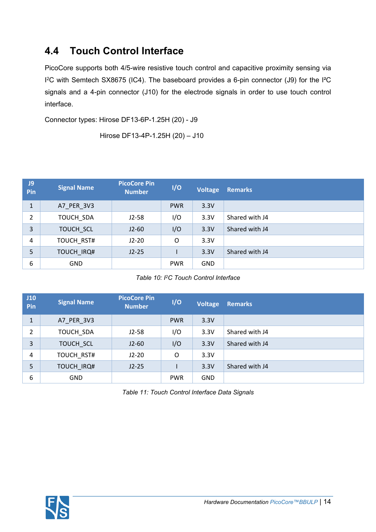#### <span id="page-13-0"></span>**4.4 Touch Control Interface**

PicoCore supports both 4/5-wire resistive touch control and capacitive proximity sensing via I <sup>2</sup>C with Semtech SX8675 (IC4). The baseboard provides a 6-pin connector (J9) for the I²C signals and a 4-pin connector (J10) for the electrode signals in order to use touch control interface.

Connector types: Hirose DF13-6P-1.25H (20) - J9

Hirose DF13-4P-1.25H (20) – J10

| J9<br>Pin      | <b>Signal Name</b> | <b>PicoCore Pin</b><br><b>Number</b> | I/O        | Voltage    | <b>Remarks</b> |
|----------------|--------------------|--------------------------------------|------------|------------|----------------|
| $\mathbf{1}$   | A7 PER 3V3         |                                      | <b>PWR</b> | 3.3V       |                |
| $\overline{2}$ | TOUCH SDA          | $J2-58$                              | I/O        | 3.3V       | Shared with J4 |
| 3              | TOUCH SCL          | $J2-60$                              | I/O        | 3.3V       | Shared with J4 |
| $\overline{4}$ | TOUCH RST#         | $J2-20$                              | O          | 3.3V       |                |
| 5              | TOUCH_IRQ#         | $J2-25$                              |            | 3.3V       | Shared with J4 |
| 6              | <b>GND</b>         |                                      | <b>PWR</b> | <b>GND</b> |                |

<span id="page-13-1"></span>*Table 10: I<sup>2</sup>C Touch Control Interface*

| J10<br>Pin   | <b>Signal Name</b> | <b>PicoCore Pin</b><br><b>Number</b> | I/O        | <b>Voltage</b> | <b>Remarks</b> |
|--------------|--------------------|--------------------------------------|------------|----------------|----------------|
| $\mathbf{1}$ | A7 PER 3V3         |                                      | <b>PWR</b> | 3.3V           |                |
| 2            | TOUCH SDA          | $J2-58$                              | I/O        | 3.3V           | Shared with J4 |
| 3            | TOUCH SCL          | $J2-60$                              | I/O        | 3.3V           | Shared with J4 |
| 4            | TOUCH RST#         | $J2-20$                              | O          | 3.3V           |                |
| 5            | <b>TOUCH IRQ#</b>  | $J2-25$                              |            | 3.3V           | Shared with J4 |
| 6            | <b>GND</b>         |                                      | <b>PWR</b> | <b>GND</b>     |                |

<span id="page-13-2"></span>*Table 11: Touch Control Interface Data Signals*

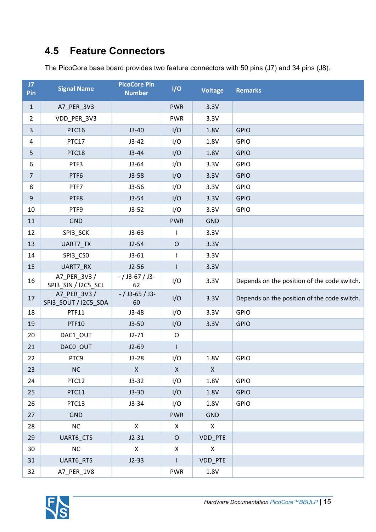## <span id="page-14-0"></span>**4.5 Feature Connectors**

The PicoCore base board provides two feature connectors with 50 pins (J7) and 34 pins (J8).

| J7<br>Pin      | <b>Signal Name</b>                   | <b>PicoCore Pin</b><br><b>Number</b> | I/O            | <b>Voltage</b> | <b>Remarks</b>                              |
|----------------|--------------------------------------|--------------------------------------|----------------|----------------|---------------------------------------------|
| $\mathbf{1}$   | A7_PER_3V3                           |                                      | <b>PWR</b>     | 3.3V           |                                             |
| $\overline{2}$ | VDD_PER_3V3                          |                                      | <b>PWR</b>     | 3.3V           |                                             |
| $\mathbf{3}$   | PTC16                                | $J3-40$                              | I/O            | 1.8V           | <b>GPIO</b>                                 |
| $\overline{a}$ | PTC17                                | $J3-42$                              | I/O            | 1.8V           | <b>GPIO</b>                                 |
| 5              | PTC18                                | $J3-44$                              | I/O            | 1.8V           | <b>GPIO</b>                                 |
| 6              | PTF3                                 | $J3-64$                              | I/O            | 3.3V           | <b>GPIO</b>                                 |
| $\overline{7}$ | PTF6                                 | $J3-58$                              | I/O            | 3.3V           | <b>GPIO</b>                                 |
| 8              | PTF7                                 | $J3-56$                              | I/O            | 3.3V           | <b>GPIO</b>                                 |
| $\overline{9}$ | PTF8                                 | $J3-54$                              | I/O            | 3.3V           | <b>GPIO</b>                                 |
| 10             | PTF9                                 | $J3-52$                              | I/O            | 3.3V           | <b>GPIO</b>                                 |
| 11             | <b>GND</b>                           |                                      | <b>PWR</b>     | <b>GND</b>     |                                             |
| 12             | SPI3_SCK                             | $J3-63$                              |                | 3.3V           |                                             |
| 13             | UART7_TX                             | $J2-54$                              | $\mathsf O$    | 3.3V           |                                             |
| 14             | SPI3_CSO                             | $J3-61$                              | L              | 3.3V           |                                             |
| 15             | UART7_RX                             | $J2-56$                              |                | 3.3V           |                                             |
| 16             | A7_PER_3V3 /<br>SPI3_SIN / I2C5_SCL  | $- /$ J3-67 / J3-<br>62              | I/O            | 3.3V           | Depends on the position of the code switch. |
| 17             | A7_PER_3V3 /<br>SPI3_SOUT / I2C5_SDA | $-$ / J3-65 / J3-<br>60              | I/O            | 3.3V           | Depends on the position of the code switch. |
| 18             | PTF11                                | $J3-48$                              | I/O            | 3.3V           | <b>GPIO</b>                                 |
| 19             | <b>PTF10</b>                         | $J3-50$                              | I/O            | 3.3V           | <b>GPIO</b>                                 |
| 20             | DAC1_OUT                             | $J2-71$                              | O              |                |                                             |
| 21             | DACO_OUT                             | $J2-69$                              | $\mathbf{I}$   |                |                                             |
| 22             | PTC9                                 | $J3-28$                              | I/O            | 1.8V           | <b>GPIO</b>                                 |
| 23             | NC                                   | $\mathsf{X}$                         | $\mathsf{X}$   | $\mathsf{X}$   |                                             |
| 24             | PTC12                                | $J3-32$                              | I/O            | 1.8V           | <b>GPIO</b>                                 |
| 25             | PTC11                                | $J3-30$                              | I/O            | 1.8V           | <b>GPIO</b>                                 |
| 26             | PTC13                                | $J3-34$                              | I/O            | 1.8V           | <b>GPIO</b>                                 |
| 27             | <b>GND</b>                           |                                      | <b>PWR</b>     | <b>GND</b>     |                                             |
| 28             | NC                                   | $\mathsf{X}$                         | $\pmb{\times}$ | $\pmb{\times}$ |                                             |
| 29             | UART6_CTS                            | $J2-31$                              | $\mathsf O$    | VDD_PTE        |                                             |
| 30             | NC                                   | X                                    | Χ              | $\pmb{\times}$ |                                             |
| 31             | UART6_RTS                            | $J2-33$                              |                | VDD_PTE        |                                             |
| 32             | A7_PER_1V8                           |                                      | <b>PWR</b>     | 1.8V           |                                             |

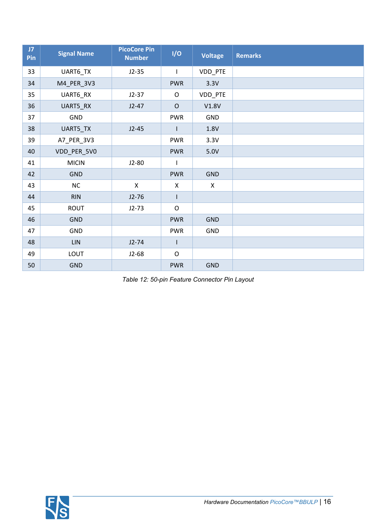| J7<br>Pin | <b>Signal Name</b> | <b>PicoCore Pin</b><br><b>Number</b> | I/O            | <b>Voltage</b> | <b>Remarks</b> |
|-----------|--------------------|--------------------------------------|----------------|----------------|----------------|
| 33        | UART6_TX           | $J2-35$                              | T              | VDD_PTE        |                |
| 34        | M4_PER_3V3         |                                      | <b>PWR</b>     | 3.3V           |                |
| 35        | UART6_RX           | $J2-37$                              | $\mathsf O$    | VDD_PTE        |                |
| 36        | UART5_RX           | $J2-47$                              | $\mathsf O$    | V1.8V          |                |
| 37        | GND                |                                      | <b>PWR</b>     | GND            |                |
| 38        | UART5_TX           | $J2-45$                              |                | 1.8V           |                |
| 39        | A7_PER_3V3         |                                      | <b>PWR</b>     | 3.3V           |                |
| 40        | VDD_PER_5V0        |                                      | <b>PWR</b>     | 5.0V           |                |
| 41        | <b>MICIN</b>       | $J2-80$                              |                |                |                |
| 42        | <b>GND</b>         |                                      | <b>PWR</b>     | <b>GND</b>     |                |
| 43        | NC                 | $\mathsf{X}$                         | $\pmb{\times}$ | $\pmb{\times}$ |                |
| 44        | <b>RIN</b>         | $J2-76$                              |                |                |                |
| 45        | <b>ROUT</b>        | $J2-73$                              | $\mathsf O$    |                |                |
| 46        | <b>GND</b>         |                                      | <b>PWR</b>     | <b>GND</b>     |                |
| 47        | <b>GND</b>         |                                      | <b>PWR</b>     | GND            |                |
| 48        | $\mathsf{LIN}$     | $J2-74$                              |                |                |                |
| 49        | LOUT               | $J2-68$                              | $\mathsf O$    |                |                |
| 50        | <b>GND</b>         |                                      | <b>PWR</b>     | <b>GND</b>     |                |

<span id="page-15-0"></span>*Table 12: 50-pin Feature Connector Pin Layout*

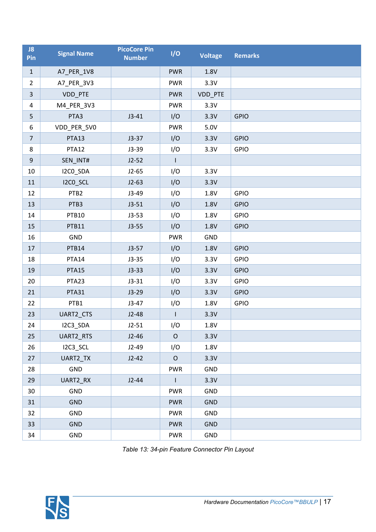| J8<br>Pin      | <b>Signal Name</b> | <b>PicoCore Pin</b><br><b>Number</b> | I/O          | <b>Voltage</b> | <b>Remarks</b> |
|----------------|--------------------|--------------------------------------|--------------|----------------|----------------|
| $\mathbf{1}$   | A7_PER_1V8         |                                      | <b>PWR</b>   | 1.8V           |                |
| $\overline{2}$ | A7_PER_3V3         |                                      | <b>PWR</b>   | 3.3V           |                |
| $\overline{3}$ | VDD_PTE            |                                      | <b>PWR</b>   | VDD_PTE        |                |
| $\overline{4}$ | M4_PER_3V3         |                                      | <b>PWR</b>   | 3.3V           |                |
| 5              | PTA3               | $J3-41$                              | I/O          | 3.3V           | <b>GPIO</b>    |
| 6              | VDD_PER_5V0        |                                      | <b>PWR</b>   | 5.0V           |                |
| $\overline{7}$ | PTA13              | $J3-37$                              | I/O          | 3.3V           | <b>GPIO</b>    |
| 8              | PTA12              | $J3-39$                              | I/O          | 3.3V           | <b>GPIO</b>    |
| $\overline{9}$ | SEN_INT#           | $J2-52$                              | $\mathbf{I}$ |                |                |
| 10             | I2CO_SDA           | $J2-65$                              | I/O          | 3.3V           |                |
| 11             | I2CO_SCL           | $J2-63$                              | I/O          | 3.3V           |                |
| 12             | PTB <sub>2</sub>   | $J3-49$                              | I/O          | 1.8V           | <b>GPIO</b>    |
| 13             | PTB3               | $J3-51$                              | I/O          | 1.8V           | <b>GPIO</b>    |
| 14             | PTB10              | $J3-53$                              | I/O          | 1.8V           | <b>GPIO</b>    |
| 15             | PTB11              | $J3-55$                              | I/O          | 1.8V           | <b>GPIO</b>    |
| 16             | GND                |                                      | <b>PWR</b>   | GND            |                |
| 17             | PTB14              | $J3-57$                              | I/O          | 1.8V           | <b>GPIO</b>    |
| 18             | PTA14              | $J3-35$                              | I/O          | 3.3V           | <b>GPIO</b>    |
| 19             | PTA15              | $J3-33$                              | I/O          | 3.3V           | <b>GPIO</b>    |
| 20             | PTA23              | $J3-31$                              | I/O          | 3.3V           | <b>GPIO</b>    |
| 21             | PTA31              | $J3-29$                              | I/O          | 3.3V           | <b>GPIO</b>    |
| 22             | PTB1               | $J3-47$                              | I/O          | 1.8V           | <b>GPIO</b>    |
| 23             | UART2_CTS          | $J2-48$                              |              | 3.3V           |                |
| 24             | I2C3_SDA           | $J2-51$                              | I/O          | 1.8V           |                |
| 25             | UART2_RTS          | $J2-46$                              | $\mathsf O$  | 3.3V           |                |
| 26             | I2C3_SCL           | $J2-49$                              | I/O          | 1.8V           |                |
| 27             | UART2_TX           | $J2-42$                              | $\mathsf O$  | 3.3V           |                |
| 28             | GND                |                                      | <b>PWR</b>   | <b>GND</b>     |                |
| 29             | UART2_RX           | $J2-44$                              | $\mathbf{I}$ | 3.3V           |                |
| 30             | GND                |                                      | <b>PWR</b>   | <b>GND</b>     |                |
| 31             | <b>GND</b>         |                                      | <b>PWR</b>   | <b>GND</b>     |                |
| 32             | GND                |                                      | <b>PWR</b>   | GND            |                |
| 33             | <b>GND</b>         |                                      | <b>PWR</b>   | <b>GND</b>     |                |
| 34             | GND                |                                      | <b>PWR</b>   | GND            |                |

<span id="page-16-0"></span>*Table 13: 34-pin Feature Connector Pin Layout*

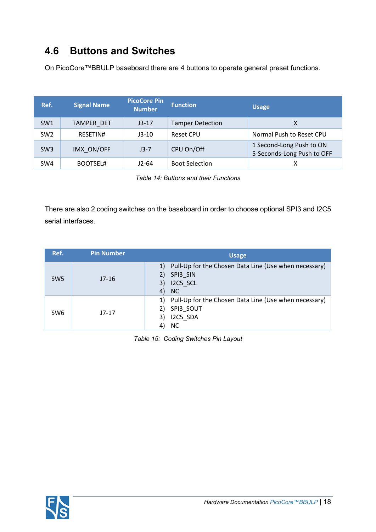#### <span id="page-17-0"></span>**4.6 Buttons and Switches**

On PicoCore™BBULP baseboard there are 4 buttons to operate general preset functions.

| Ref.            | <b>Signal Name</b> | <b>PicoCore Pin</b><br><b>Number</b> | <b>Function</b>         | <b>Usage</b>                                           |
|-----------------|--------------------|--------------------------------------|-------------------------|--------------------------------------------------------|
| SW1             | <b>TAMPER DET</b>  | $J3-17$                              | <b>Tamper Detection</b> |                                                        |
| SW <sub>2</sub> | RESETIN#           | $J3-10$                              | Reset CPU               | Normal Push to Reset CPU                               |
| SW <sub>3</sub> | IMX ON/OFF         | $J3-7$                               | CPU On/Off              | 1 Second-Long Push to ON<br>5-Seconds-Long Push to OFF |
| SW4             | <b>BOOTSEL#</b>    | $J2-64$                              | <b>Boot Selection</b>   |                                                        |

<span id="page-17-1"></span>*Table 14: Buttons and their Functions* 

There are also 2 coding switches on the baseboard in order to choose optional SPI3 and I2C5 serial interfaces.

| Ref.            | <b>Pin Number</b> | <b>Usage</b>                                                                                               |
|-----------------|-------------------|------------------------------------------------------------------------------------------------------------|
| SW <sub>5</sub> | $J7-16$           | 1) Pull-Up for the Chosen Data Line (Use when necessary)<br>SPI3 SIN<br>2)<br>3) I2C5 SCL<br>NC<br>4)      |
| SW <sub>6</sub> | J7-17             | 1) Pull-Up for the Chosen Data Line (Use when necessary)<br>SPI3_SOUT<br>I2C5 SDA<br>3)<br><b>NC</b><br>4) |

<span id="page-17-2"></span>*Table 15: Coding Switches Pin Layout*

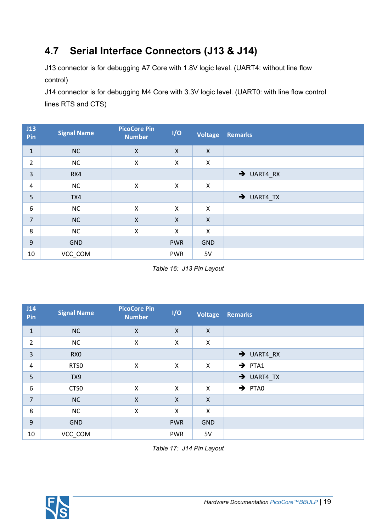## <span id="page-18-0"></span>**4.7 Serial Interface Connectors (J13 & J14)**

J13 connector is for debugging A7 Core with 1.8V logic level. (UART4: without line flow control)

J14 connector is for debugging M4 Core with 3.3V logic level. (UART0: with line flow control lines RTS and CTS)

| J13<br>Pin       | <b>Signal Name</b> | <b>PicoCore Pin</b><br><b>Number</b> | I/O                       | <b>Voltage</b>            | <b>Remarks</b>         |
|------------------|--------------------|--------------------------------------|---------------------------|---------------------------|------------------------|
| $1\,$            | <b>NC</b>          | $\mathsf{X}$                         | $\mathsf{X}$              | $\boldsymbol{\mathsf{X}}$ |                        |
| $\overline{2}$   | <b>NC</b>          | X                                    | $\pmb{\times}$            | X                         |                        |
| $\overline{3}$   | RX4                |                                      |                           |                           | $\rightarrow$ UART4_RX |
| $\overline{4}$   | <b>NC</b>          | X                                    | X                         | $\boldsymbol{\mathsf{X}}$ |                        |
| 5                | TX4                |                                      |                           |                           | $\rightarrow$ UART4_TX |
| $\boldsymbol{6}$ | NC                 | X                                    | X                         | $\boldsymbol{\mathsf{X}}$ |                        |
| $\overline{7}$   | NC                 | X                                    | $\boldsymbol{\mathsf{X}}$ | $\mathsf{X}$              |                        |
| 8                | <b>NC</b>          | X                                    | X                         | X                         |                        |
| 9                | <b>GND</b>         |                                      | <b>PWR</b>                | <b>GND</b>                |                        |
| 10               | VCC_COM            |                                      | <b>PWR</b>                | 5V                        |                        |

<span id="page-18-1"></span>*Table 16: J13 Pin Layout*

| J14<br>Pin     | <b>Signal Name</b> | <b>PicoCore Pin</b><br><b>Number</b> | I/O                       | <b>Voltage</b>            | <b>Remarks</b>         |
|----------------|--------------------|--------------------------------------|---------------------------|---------------------------|------------------------|
| $\mathbf 1$    | <b>NC</b>          | $\mathsf{X}$                         | $\mathsf{X}$              | $\boldsymbol{\mathsf{X}}$ |                        |
| $\overline{2}$ | <b>NC</b>          | Χ                                    | $\boldsymbol{\mathsf{X}}$ | $\boldsymbol{\mathsf{X}}$ |                        |
| 3              | RX <sub>0</sub>    |                                      |                           |                           | $\rightarrow$ UART4_RX |
| 4              | RTS0               | $\mathsf{X}$                         | $\boldsymbol{\mathsf{X}}$ | X                         | $\rightarrow$ PTA1     |
| 5              | TX9                |                                      |                           |                           | $\rightarrow$ UART4_TX |
| 6              | CTS <sub>0</sub>   | X                                    | X                         | $\boldsymbol{\mathsf{X}}$ | $\rightarrow$ PTAO     |
| $\overline{7}$ | <b>NC</b>          | $\mathsf{X}$                         | $\boldsymbol{\mathsf{X}}$ | $\boldsymbol{\mathsf{X}}$ |                        |
| 8              | <b>NC</b>          | Χ                                    | X                         | X                         |                        |
| 9              | <b>GND</b>         |                                      | <b>PWR</b>                | <b>GND</b>                |                        |
| 10             | VCC_COM            |                                      | <b>PWR</b>                | 5V                        |                        |

<span id="page-18-2"></span>*Table 17: J14 Pin Layout*

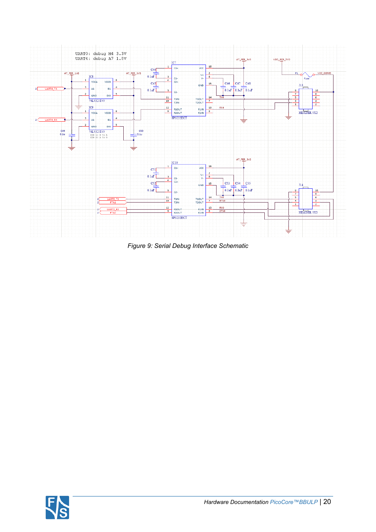

<span id="page-19-0"></span>*Figure 9: Serial Debug Interface Schematic*

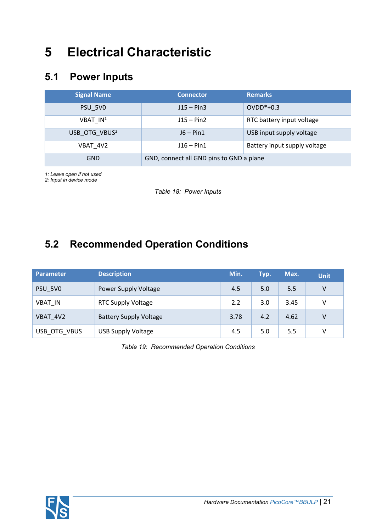## <span id="page-20-0"></span>**5 Electrical Characteristic**

#### <span id="page-20-1"></span>**5.1 Power Inputs**

| <b>Signal Name</b>        | <b>Connector</b>                         | <b>Remarks</b>               |
|---------------------------|------------------------------------------|------------------------------|
| PSU 5VO                   | $J15 - Pin3$                             | $OVDD*+0.3$                  |
| VBAT IN <sup>1</sup>      | $J15 - Pin2$                             | RTC battery input voltage    |
| USB OTG VBUS <sup>2</sup> | $J6 - Pin1$                              | USB input supply voltage     |
| VBAT 4V2                  | $J16 - Pin1$                             | Battery input supply voltage |
| <b>GND</b>                | GND, connect all GND pins to GND a plane |                              |

*1: Leave open if not used*

*2: Input in device mode*

<span id="page-20-3"></span>*Table 18: Power Inputs*

## <span id="page-20-2"></span>**5.2 Recommended Operation Conditions**

| Parameter      | <b>Description</b>            | Min. | Typ. | Max. | <b>Unit</b> |
|----------------|-------------------------------|------|------|------|-------------|
| PSU_5V0        | Power Supply Voltage          | 4.5  | 5.0  | 5.5  | V           |
| <b>VBAT IN</b> | <b>RTC Supply Voltage</b>     | 2.2  | 3.0  | 3.45 | V           |
| VBAT 4V2       | <b>Battery Supply Voltage</b> | 3.78 | 4.2  | 4.62 | V           |
| USB_OTG_VBUS   | <b>USB Supply Voltage</b>     | 4.5  | 5.0  | 5.5  | V           |

<span id="page-20-4"></span>*Table 19: Recommended Operation Conditions*

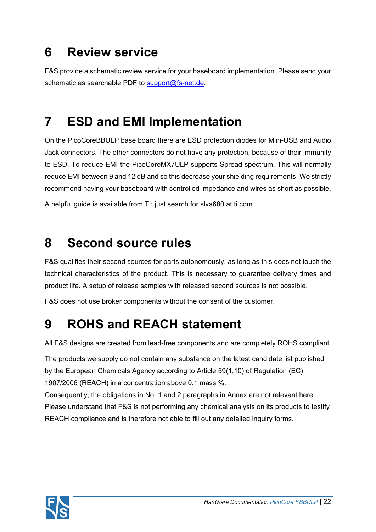## <span id="page-21-0"></span>**6 Review service**

F&S provide a schematic review service for your baseboard implementation. Please send your schematic as searchable PDF to [support@fs-net.de.](mailto:support@fs-net.de)

## <span id="page-21-1"></span>**7 ESD and EMI Implementation**

On the PicoCoreBBULP base board there are ESD protection diodes for Mini-USB and Audio Jack connectors. The other connectors do not have any protection, because of their immunity to ESD. To reduce EMI the PicoCoreMX7ULP supports Spread spectrum. This will normally reduce EMI between 9 and 12 dB and so this decrease your shielding requirements. We strictly recommend having your baseboard with controlled impedance and wires as short as possible.

A helpful guide is available from TI; just search for slva680 at ti.com.

## <span id="page-21-2"></span>**8 Second source rules**

F&S qualifies their second sources for parts autonomously, as long as this does not touch the technical characteristics of the product. This is necessary to guarantee delivery times and product life. A setup of release samples with released second sources is not possible.

F&S does not use broker components without the consent of the customer.

# <span id="page-21-3"></span>**9 ROHS and REACH statement**

All F&S designs are created from lead-free components and are completely ROHS compliant.

The products we supply do not contain any substance on the latest candidate list published by the European Chemicals Agency according to Article 59(1,10) of Regulation (EC) 1907/2006 (REACH) in a concentration above 0.1 mass %.

Consequently, the obligations in No. 1 and 2 paragraphs in Annex are not relevant here. Please understand that F&S is not performing any chemical analysis on its products to testify REACH compliance and is therefore not able to fill out any detailed inquiry forms.

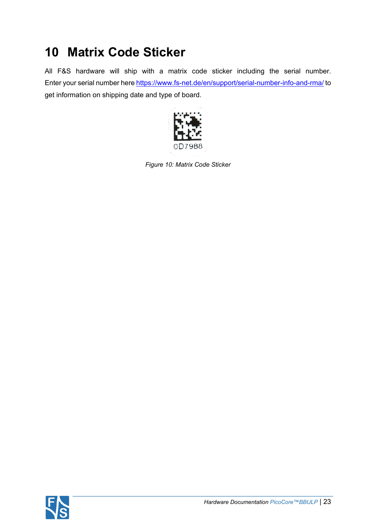## <span id="page-22-0"></span>**10 Matrix Code Sticker**

All F&S hardware will ship with a matrix code sticker including the serial number. Enter your serial number here<https://www.fs-net.de/en/support/serial-number-info-and-rma/>to get information on shipping date and type of board.

<span id="page-22-1"></span>

*Figure 10: Matrix Code Sticker*

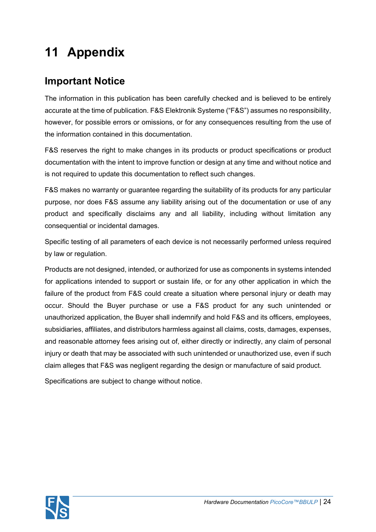# <span id="page-23-0"></span>**11 Appendix**

#### <span id="page-23-1"></span>**Important Notice**

The information in this publication has been carefully checked and is believed to be entirely accurate at the time of publication. F&S Elektronik Systeme ("F&S") assumes no responsibility, however, for possible errors or omissions, or for any consequences resulting from the use of the information contained in this documentation.

F&S reserves the right to make changes in its products or product specifications or product documentation with the intent to improve function or design at any time and without notice and is not required to update this documentation to reflect such changes.

F&S makes no warranty or guarantee regarding the suitability of its products for any particular purpose, nor does F&S assume any liability arising out of the documentation or use of any product and specifically disclaims any and all liability, including without limitation any consequential or incidental damages.

Specific testing of all parameters of each device is not necessarily performed unless required by law or regulation.

Products are not designed, intended, or authorized for use as components in systems intended for applications intended to support or sustain life, or for any other application in which the failure of the product from F&S could create a situation where personal injury or death may occur. Should the Buyer purchase or use a F&S product for any such unintended or unauthorized application, the Buyer shall indemnify and hold F&S and its officers, employees, subsidiaries, affiliates, and distributors harmless against all claims, costs, damages, expenses, and reasonable attorney fees arising out of, either directly or indirectly, any claim of personal injury or death that may be associated with such unintended or unauthorized use, even if such claim alleges that F&S was negligent regarding the design or manufacture of said product.

Specifications are subject to change without notice.

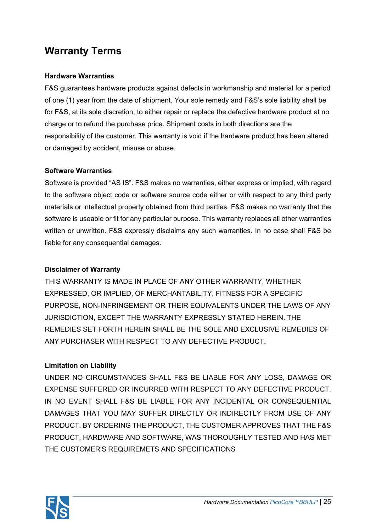#### <span id="page-24-0"></span>**Warranty Terms**

#### **Hardware Warranties**

F&S guarantees hardware products against defects in workmanship and material for a period of one (1) year from the date of shipment. Your sole remedy and F&S's sole liability shall be for F&S, at its sole discretion, to either repair or replace the defective hardware product at no charge or to refund the purchase price. Shipment costs in both directions are the responsibility of the customer. This warranty is void if the hardware product has been altered or damaged by accident, misuse or abuse.

#### **Software Warranties**

Software is provided "AS IS". F&S makes no warranties, either express or implied, with regard to the software object code or software source code either or with respect to any third party materials or intellectual property obtained from third parties. F&S makes no warranty that the software is useable or fit for any particular purpose. This warranty replaces all other warranties written or unwritten. F&S expressly disclaims any such warranties. In no case shall F&S be liable for any consequential damages.

#### **Disclaimer of Warranty**

THIS WARRANTY IS MADE IN PLACE OF ANY OTHER WARRANTY, WHETHER EXPRESSED, OR IMPLIED, OF MERCHANTABILITY, FITNESS FOR A SPECIFIC PURPOSE, NON-INFRINGEMENT OR THEIR EQUIVALENTS UNDER THE LAWS OF ANY JURISDICTION, EXCEPT THE WARRANTY EXPRESSLY STATED HEREIN. THE REMEDIES SET FORTH HEREIN SHALL BE THE SOLE AND EXCLUSIVE REMEDIES OF ANY PURCHASER WITH RESPECT TO ANY DEFECTIVE PRODUCT.

#### **Limitation on Liability**

UNDER NO CIRCUMSTANCES SHALL F&S BE LIABLE FOR ANY LOSS, DAMAGE OR EXPENSE SUFFERED OR INCURRED WITH RESPECT TO ANY DEFECTIVE PRODUCT. IN NO EVENT SHALL F&S BE LIABLE FOR ANY INCIDENTAL OR CONSEQUENTIAL DAMAGES THAT YOU MAY SUFFER DIRECTLY OR INDIRECTLY FROM USE OF ANY PRODUCT. BY ORDERING THE PRODUCT, THE CUSTOMER APPROVES THAT THE F&S PRODUCT, HARDWARE AND SOFTWARE, WAS THOROUGHLY TESTED AND HAS MET THE CUSTOMER'S REQUIREMETS AND SPECIFICATIONS